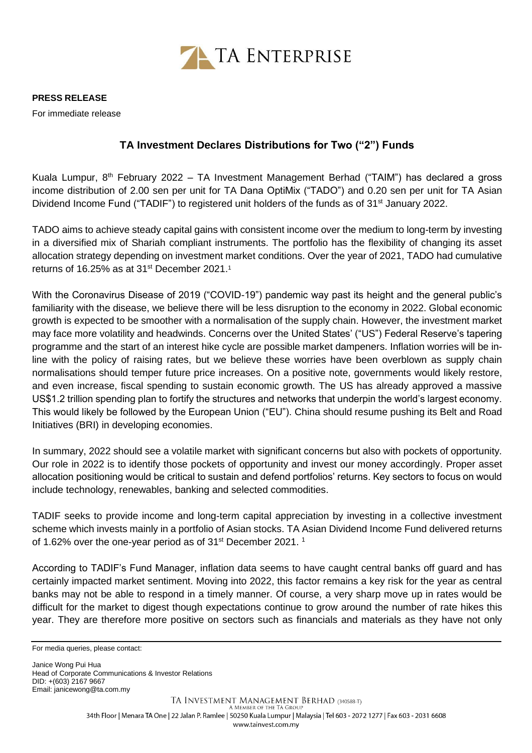

## **PRESS RELEASE**

For immediate release

## **TA Investment Declares Distributions for Two ("2") Funds**

Kuala Lumpur, 8<sup>th</sup> February 2022 – TA Investment Management Berhad ("TAIM") has declared a gross income distribution of 2.00 sen per unit for TA Dana OptiMix ("TADO") and 0.20 sen per unit for TA Asian Dividend Income Fund ("TADIF") to registered unit holders of the funds as of 31<sup>st</sup> January 2022.

TADO aims to achieve steady capital gains with consistent income over the medium to long-term by investing in a diversified mix of Shariah compliant instruments. The portfolio has the flexibility of changing its asset allocation strategy depending on investment market conditions. Over the year of 2021, TADO had cumulative returns of 16.25% as at 31 $\mathrm{^{st}}$  December 2021.<sup>1</sup>

With the Coronavirus Disease of 2019 ("COVID-19") pandemic way past its height and the general public's familiarity with the disease, we believe there will be less disruption to the economy in 2022. Global economic growth is expected to be smoother with a normalisation of the supply chain. However, the investment market may face more volatility and headwinds. Concerns over the United States' ("US") Federal Reserve's tapering programme and the start of an interest hike cycle are possible market dampeners. Inflation worries will be inline with the policy of raising rates, but we believe these worries have been overblown as supply chain normalisations should temper future price increases. On a positive note, governments would likely restore, and even increase, fiscal spending to sustain economic growth. The US has already approved a massive US\$1.2 trillion spending plan to fortify the structures and networks that underpin the world's largest economy. This would likely be followed by the European Union ("EU"). China should resume pushing its Belt and Road Initiatives (BRI) in developing economies.

In summary, 2022 should see a volatile market with significant concerns but also with pockets of opportunity. Our role in 2022 is to identify those pockets of opportunity and invest our money accordingly. Proper asset allocation positioning would be critical to sustain and defend portfolios' returns. Key sectors to focus on would include technology, renewables, banking and selected commodities.

TADIF seeks to provide income and long-term capital appreciation by investing in a collective investment scheme which invests mainly in a portfolio of Asian stocks. TA Asian Dividend Income Fund delivered returns of 1.62% over the one-year period as of 31 $^{\rm st}$  December 2021.  $^{\rm 1}$ 

According to TADIF's Fund Manager, inflation data seems to have caught central banks off guard and has certainly impacted market sentiment. Moving into 2022, this factor remains a key risk for the year as central banks may not be able to respond in a timely manner. Of course, a very sharp move up in rates would be difficult for the market to digest though expectations continue to grow around the number of rate hikes this year. They are therefore more positive on sectors such as financials and materials as they have not only

Janice Wong Pui Hua Head of Corporate Communications & Investor Relations DID: +(603) 2167 9667 Email[: janicewong@ta.com.my](mailto:janicewong@ta.com.my)

For media queries, please contact: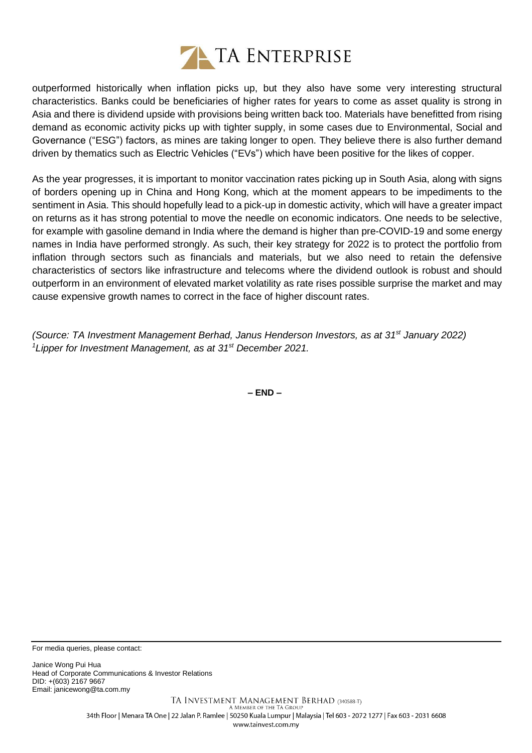

outperformed historically when inflation picks up, but they also have some very interesting structural characteristics. Banks could be beneficiaries of higher rates for years to come as asset quality is strong in Asia and there is dividend upside with provisions being written back too. Materials have benefitted from rising demand as economic activity picks up with tighter supply, in some cases due to Environmental, Social and Governance ("ESG") factors, as mines are taking longer to open. They believe there is also further demand driven by thematics such as Electric Vehicles ("EVs") which have been positive for the likes of copper.

As the year progresses, it is important to monitor vaccination rates picking up in South Asia, along with signs of borders opening up in China and Hong Kong, which at the moment appears to be impediments to the sentiment in Asia. This should hopefully lead to a pick-up in domestic activity, which will have a greater impact on returns as it has strong potential to move the needle on economic indicators. One needs to be selective, for example with gasoline demand in India where the demand is higher than pre-COVID-19 and some energy names in India have performed strongly. As such, their key strategy for 2022 is to protect the portfolio from inflation through sectors such as financials and materials, but we also need to retain the defensive characteristics of sectors like infrastructure and telecoms where the dividend outlook is robust and should outperform in an environment of elevated market volatility as rate rises possible surprise the market and may cause expensive growth names to correct in the face of higher discount rates.

*(Source: TA Investment Management Berhad, Janus Henderson Investors, as at 31st January 2022) <sup>1</sup>Lipper for Investment Management, as at 31st December 2021.* 

**– END –**

For media queries, please contact:

Janice Wong Pui Hua Head of Corporate Communications & Investor Relations DID: +(603) 2167 9667 Email[: janicewong@ta.com.my](mailto:janicewong@ta.com.my)